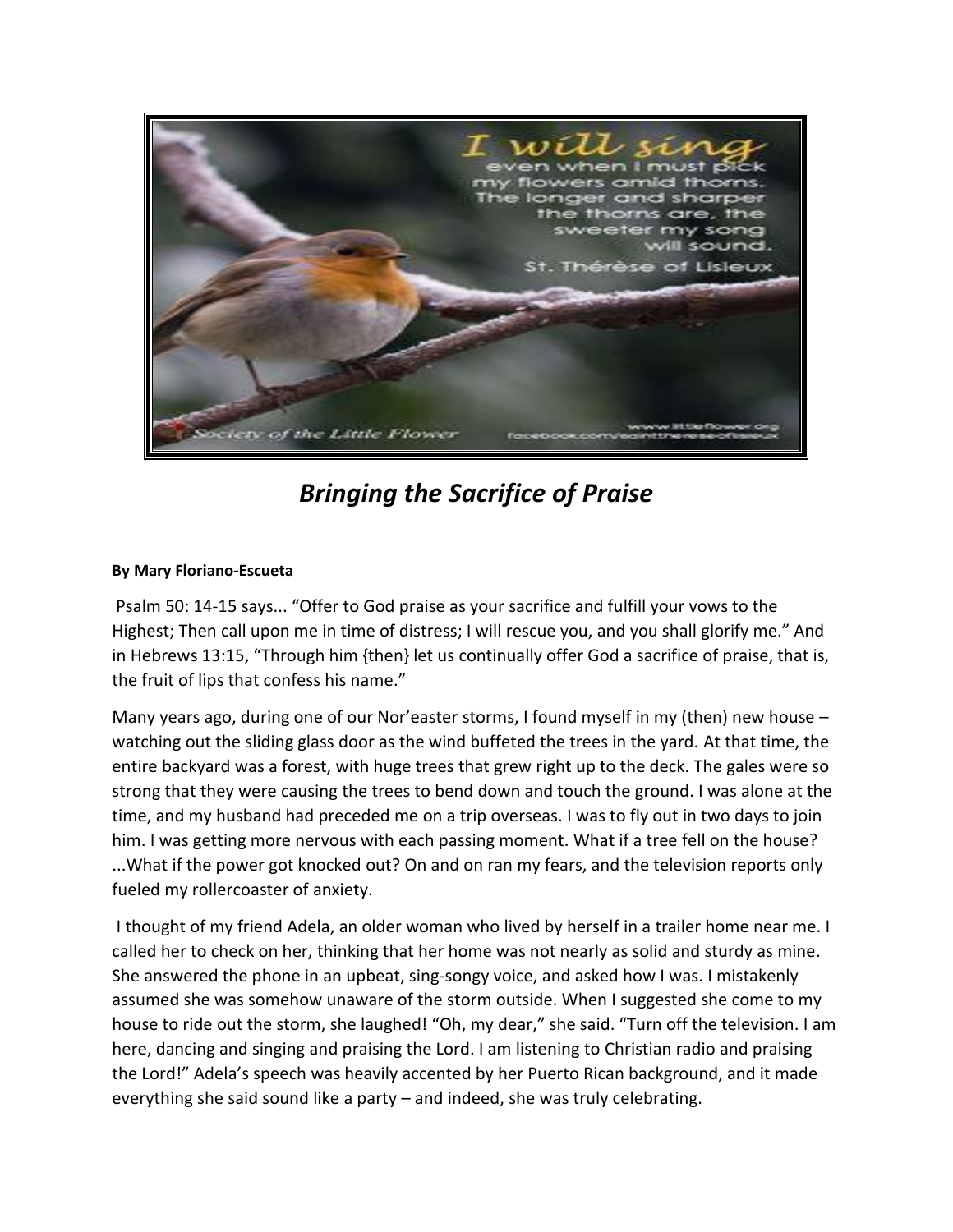

*Bringing the Sacrifice of Praise*

## **By Mary Floriano-Escueta**

Psalm 50: 14-15 says... "Offer to God praise as your sacrifice and fulfill your vows to the Highest; Then call upon me in time of distress; I will rescue you, and you shall glorify me." And in Hebrews 13:15, "Through him {then} let us continually offer God a sacrifice of praise, that is, the fruit of lips that confess his name."

Many years ago, during one of our Nor'easter storms, I found myself in my (then) new house watching out the sliding glass door as the wind buffeted the trees in the yard. At that time, the entire backyard was a forest, with huge trees that grew right up to the deck. The gales were so strong that they were causing the trees to bend down and touch the ground. I was alone at the time, and my husband had preceded me on a trip overseas. I was to fly out in two days to join him. I was getting more nervous with each passing moment. What if a tree fell on the house? ...What if the power got knocked out? On and on ran my fears, and the television reports only fueled my rollercoaster of anxiety.

I thought of my friend Adela, an older woman who lived by herself in a trailer home near me. I called her to check on her, thinking that her home was not nearly as solid and sturdy as mine. She answered the phone in an upbeat, sing-songy voice, and asked how I was. I mistakenly assumed she was somehow unaware of the storm outside. When I suggested she come to my house to ride out the storm, she laughed! "Oh, my dear," she said. "Turn off the television. I am here, dancing and singing and praising the Lord. I am listening to Christian radio and praising the Lord!" Adela's speech was heavily accented by her Puerto Rican background, and it made everything she said sound like a party – and indeed, she was truly celebrating.